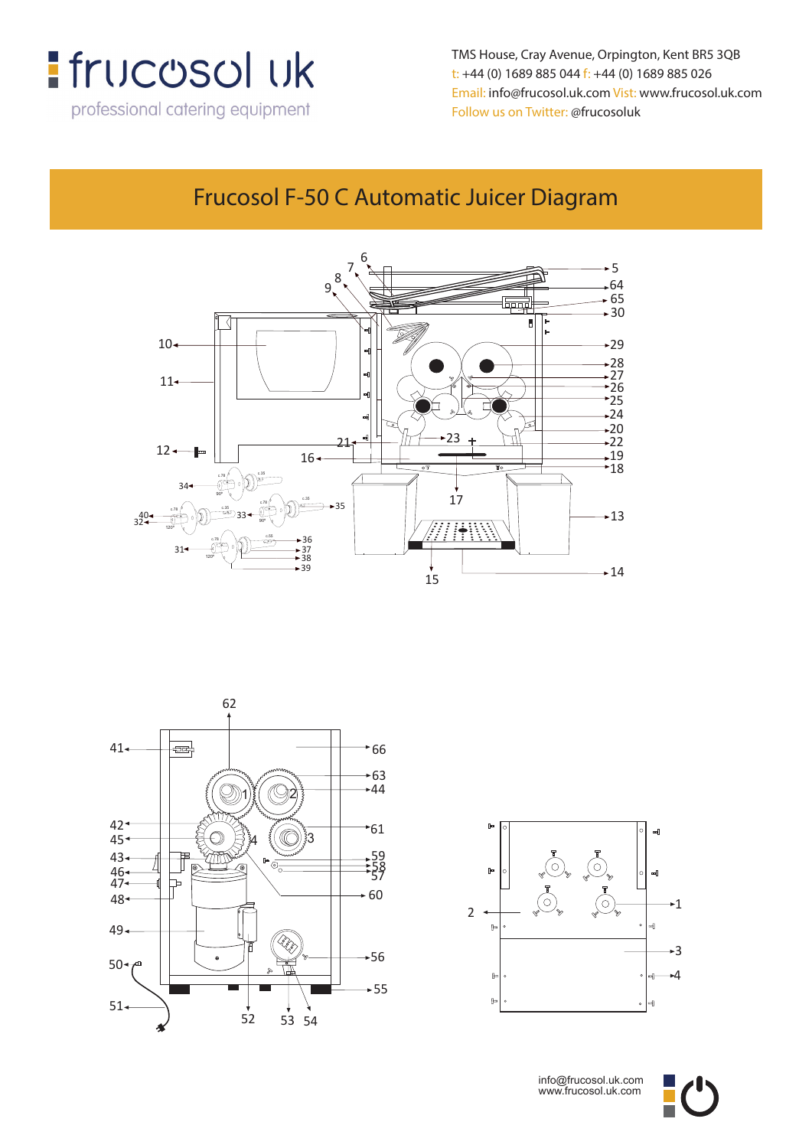

TMS House, Cray Avenue, Orpington, Kent BR5 3QB **t: +44 (0) 1689 885 044 f: +44 (0) 1689 885 026** t: +44 (0) 1689 885 044 f: +44 (0) 1689 885 026 **Email: info@frucosol.uk.com Vist: www.frucosol.uk.com** Email: info@frucosol.uk.com Vist: www.frucosol.uk.com Follow us on Twitter: @frucosoluk

#### Frucosol F-50 C Automatic Juicer Diagram

**Frucosol F-50C Automatic Juicer Diagram**







info@frucosol.uk.com www.frucosol.uk.com

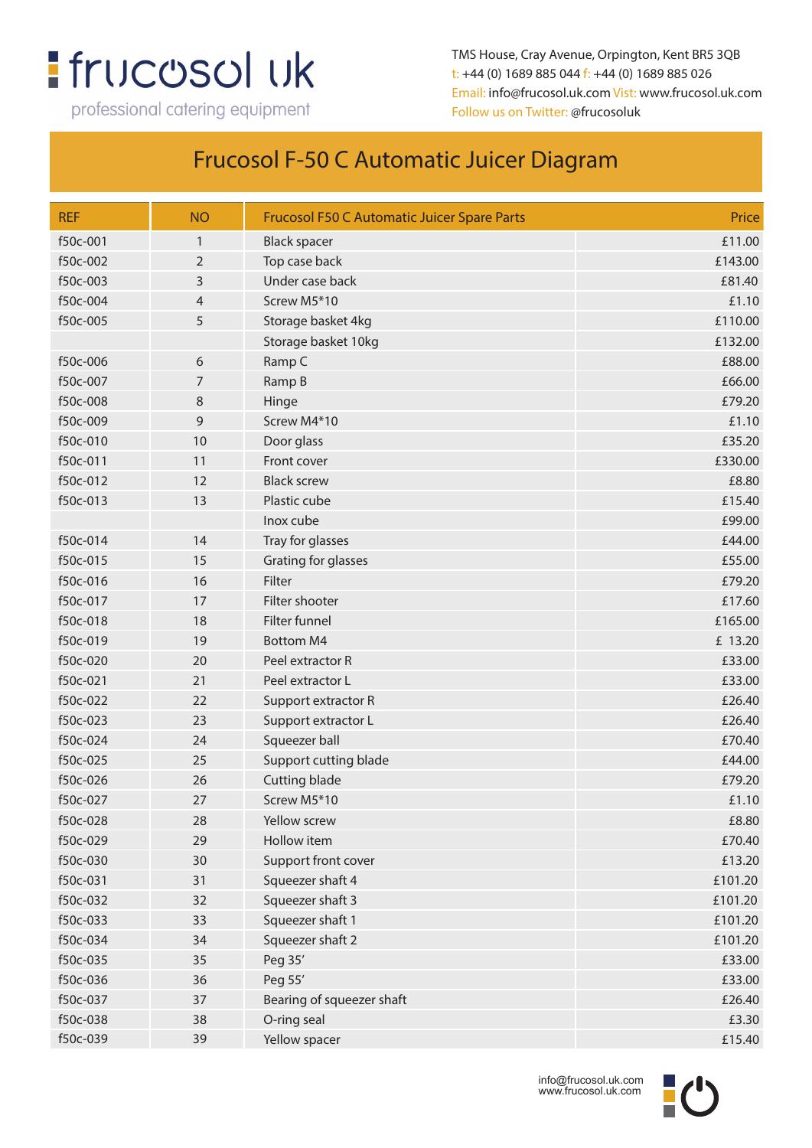# **:** frucosol uk

professional catering equipment

TMS House, Cray Avenue, Orpington, Kent BR5 3QB t: +44 (0) 1689 885 044 f: +44 (0) 1689 885 026 Email: info@frucosol.uk.com Vist: www.frucosol.uk.com Follow us on Twitter: @frucosoluk

### Frucosol F-50 C Automatic Juicer Diagram

| <b>REF</b> | <b>NO</b>      | <b>Frucosol F50 C Automatic Juicer Spare Parts</b> | Price   |
|------------|----------------|----------------------------------------------------|---------|
| f50c-001   | $\mathbf{1}$   | <b>Black spacer</b>                                | £11.00  |
| f50c-002   | $\overline{2}$ | Top case back                                      | £143.00 |
| f50c-003   | 3              | Under case back                                    | £81.40  |
| f50c-004   | $\overline{4}$ | Screw M5*10                                        | £1.10   |
| f50c-005   | 5              | Storage basket 4kg                                 | £110.00 |
|            |                | Storage basket 10kg                                | £132.00 |
| f50c-006   | 6              | Ramp C                                             | £88.00  |
| f50c-007   | 7              | Ramp B                                             | £66.00  |
| f50c-008   | 8              | Hinge                                              | £79.20  |
| f50c-009   | 9              | Screw M4*10                                        | £1.10   |
| f50c-010   | 10             | Door glass                                         | £35.20  |
| f50c-011   | 11             | Front cover                                        | £330.00 |
| f50c-012   | 12             | <b>Black screw</b>                                 | £8.80   |
| f50c-013   | 13             | Plastic cube                                       | £15.40  |
|            |                | Inox cube                                          | £99.00  |
| f50c-014   | 14             | Tray for glasses                                   | £44.00  |
| f50c-015   | 15             | Grating for glasses                                | £55.00  |
| f50c-016   | 16             | Filter                                             | £79.20  |
| f50c-017   | 17             | Filter shooter                                     | £17.60  |
| f50c-018   | 18             | Filter funnel                                      | £165.00 |
| f50c-019   | 19             | <b>Bottom M4</b>                                   | £ 13.20 |
| f50c-020   | 20             | Peel extractor R                                   | £33.00  |
| f50c-021   | 21             | Peel extractor L                                   | £33.00  |
| f50c-022   | 22             | Support extractor R                                | £26.40  |
| f50c-023   | 23             | Support extractor L                                | £26.40  |
| f50c-024   | 24             | Squeezer ball                                      | £70.40  |
| f50c-025   | 25             | Support cutting blade                              | £44.00  |
| f50c-026   | 26             | <b>Cutting blade</b>                               | £79.20  |
| f50c-027   | 27             | Screw M5*10                                        | £1.10   |
| f50c-028   | 28             | Yellow screw                                       | £8.80   |
| f50c-029   | 29             | Hollow item                                        | £70.40  |
| f50c-030   | 30             | Support front cover                                | £13.20  |
| f50c-031   | 31             | Squeezer shaft 4                                   | £101.20 |
| f50c-032   | 32             | Squeezer shaft 3                                   | £101.20 |
| f50c-033   | 33             | Squeezer shaft 1                                   | £101.20 |
| f50c-034   | 34             | Squeezer shaft 2                                   | £101.20 |
| f50c-035   | 35             | Peg 35'                                            | £33.00  |
| f50c-036   | 36             | Peg 55'                                            | £33.00  |
| f50c-037   | 37             | Bearing of squeezer shaft                          | £26.40  |
| f50c-038   | 38             | O-ring seal                                        | £3.30   |
| f50c-039   | 39             | Yellow spacer                                      | £15.40  |